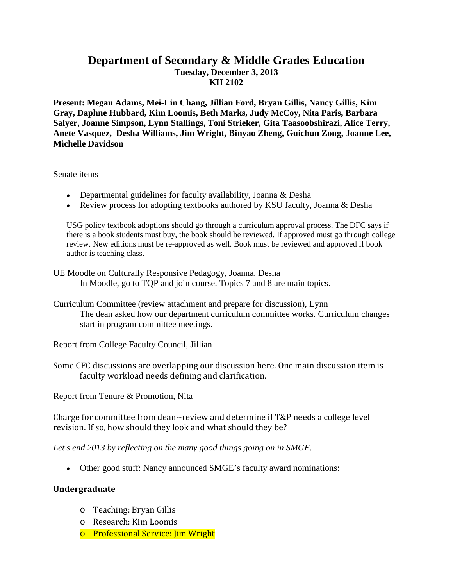## **Department of Secondary & Middle Grades Education Tuesday, December 3, 2013 KH 2102**

**Present: Megan Adams, Mei-Lin Chang, Jillian Ford, Bryan Gillis, Nancy Gillis, Kim Gray, Daphne Hubbard, Kim Loomis, Beth Marks, Judy McCoy, Nita Paris, Barbara Salyer, Joanne Simpson, Lynn Stallings, Toni Strieker, Gita Taasoobshirazi, Alice Terry, Anete Vasquez, Desha Williams, Jim Wright, Binyao Zheng, Guichun Zong, Joanne Lee, Michelle Davidson**

Senate items

- Departmental guidelines for faculty availability, Joanna & Desha
- Review process for adopting textbooks authored by KSU faculty, Joanna & Desha

USG policy textbook adoptions should go through a curriculum approval process. The DFC says if there is a book students must buy, the book should be reviewed. If approved must go through college review. New editions must be re-approved as well. Book must be reviewed and approved if book author is teaching class.

UE Moodle on Culturally Responsive Pedagogy, Joanna, Desha In Moodle, go to TQP and join course. Topics 7 and 8 are main topics.

Curriculum Committee (review attachment and prepare for discussion), Lynn The dean asked how our department curriculum committee works. Curriculum changes start in program committee meetings.

Report from College Faculty Council, Jillian

Some CFC discussions are overlapping our discussion here. One main discussion item is faculty workload needs defining and clarification.

Report from Tenure & Promotion, Nita

Charge for committee from dean--review and determine if T&P needs a college level revision. If so, how should they look and what should they be?

*Let's end 2013 by reflecting on the many good things going on in SMGE.*

• Other good stuff: Nancy announced SMGE's faculty award nominations:

## **Undergraduate**

- o Teaching: Bryan Gillis
- o Research: Kim Loomis
- o Professional Service: Jim Wright